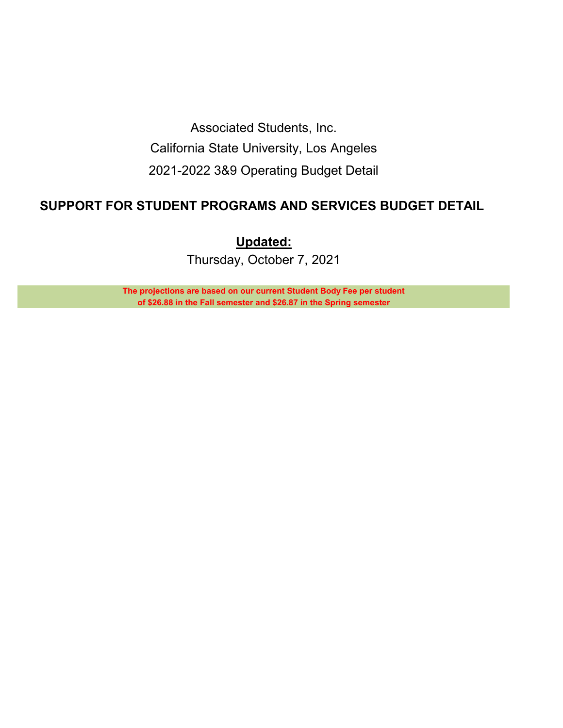Associated Students, Inc. California State University, Los Angeles 2021-2022 3&9 Operating Budget Detail

## **SUPPORT FOR STUDENT PROGRAMS AND SERVICES BUDGET DETAIL**

**Updated:**

Thursday, October 7, 2021

**The projections are based on our current Student Body Fee per student of \$26.88 in the Fall semester and \$26.87 in the Spring semester**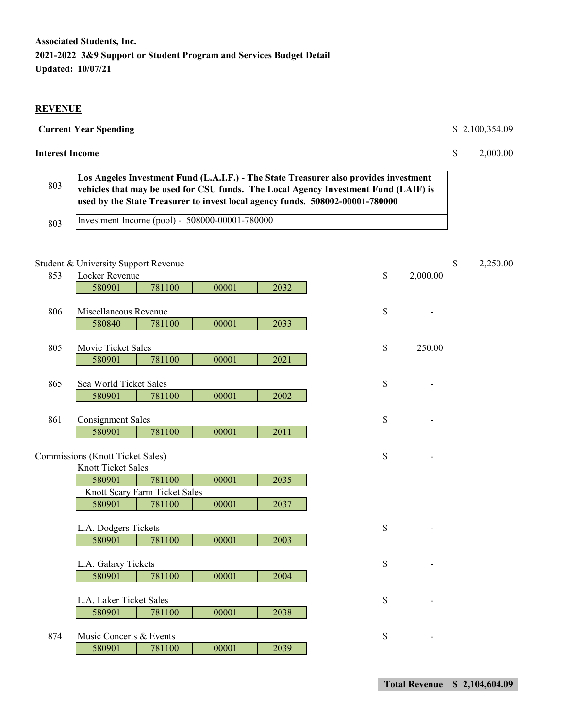#### **REVENUE**

#### **Current Year Spending \$ 2,100,354.09**

#### **Interest Income** \$ 2,000.00

| 803 | Los Angeles Investment Fund (L.A.I.F.) - The State Treasurer also provides investment<br>vehicles that may be used for CSU funds. The Local Agency Investment Fund (LAIF) is<br>used by the State Treasurer to invest local agency funds. 508002-00001-780000 |
|-----|---------------------------------------------------------------------------------------------------------------------------------------------------------------------------------------------------------------------------------------------------------------|
| 803 | Investment Income (pool) - 508000-00001-780000                                                                                                                                                                                                                |

# Student & University Support Revenue  $\qquad \qquad$  2,250.00 853 Locker Revenue \$ 2,000.00 580901 781100 00001 2032 806 Miscellaneous Revenue **\$** 5 580840 781100 00001 2033 805 Movie Ticket Sales \$ 250.00 580901 781100 00001 2021 865 Sea World Ticket Sales **5 and 1997** Sea World Ticket Sales **5 and 1997** Sea  $\sim$ 580901 781100 00001 2002 861 Consignment Sales 5 and  $\sim$  5 and  $\sim$  5 and  $\sim$  5 and  $\sim$  5 and  $\sim$  5 and  $\sim$  5 and  $\sim$  5 and  $\sim$  5 and  $\sim$  5 and  $\sim$  5 and  $\sim$  5 and  $\sim$  5 and  $\sim$  5 and  $\sim$  5 and  $\sim$  5 and  $\sim$  5 and  $\sim$  5 and  $\sim$  5 580901 781100 00001 2011 Commissions (Knott Ticket Sales) \$ - Knott Ticket Sales 580901 781100 00001 2035 Knott Scary Farm Ticket Sales 580901 781100 00001 2037 L.A. Dodgers Tickets  $\$\$ 580901 781100 00001 2003 L.A. Galaxy Tickets  $\S$ 580901 781100 00001 2004 L.A. Laker Ticket Sales \$ 580901 781100 00001 2038 874 Music Concerts & Events  $\frac{1}{2}$  -580901 781100 00001 2039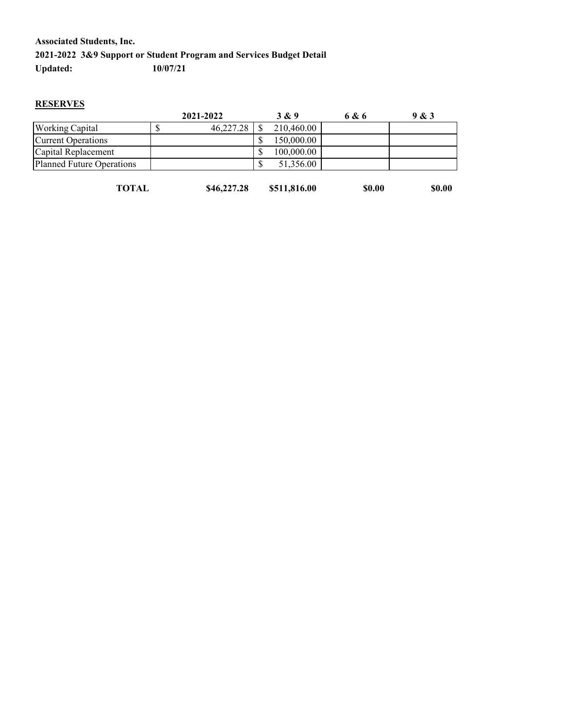#### **RESERVES**

|                           | 2021-2022 | 3 & 9           | 6 & 6 | 9 & 3 |
|---------------------------|-----------|-----------------|-------|-------|
| <b>Working Capital</b>    | 46,227.28 | 210,460.00      |       |       |
| <b>Current Operations</b> |           | 150,000.00      |       |       |
| Capital Replacement       |           | 100,000.00      |       |       |
| Planned Future Operations |           | 51,356.00<br>ъD |       |       |
|                           |           |                 |       |       |

| \$46,227.28<br><b>TOTAL</b><br>\$511,816.00<br><b>\$0.00</b> | \$0.00 |
|--------------------------------------------------------------|--------|
|--------------------------------------------------------------|--------|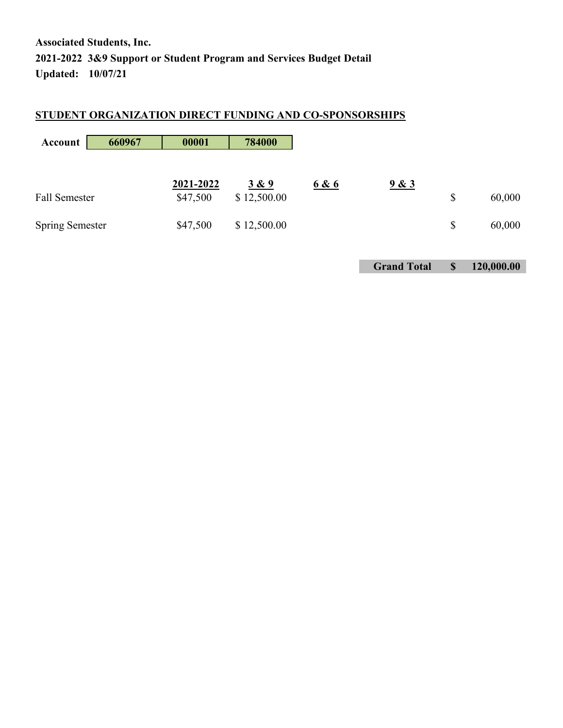## **STUDENT ORGANIZATION DIRECT FUNDING AND CO-SPONSORSHIPS**

| 660967<br>Account      | 00001     | 784000      |       |       |              |
|------------------------|-----------|-------------|-------|-------|--------------|
|                        | 2021-2022 | 3 & 9       | 6 & 6 | 9 & 3 |              |
| <b>Fall Semester</b>   | \$47,500  | \$12,500.00 |       |       | \$<br>60,000 |
| <b>Spring Semester</b> | \$47,500  | \$12,500.00 |       |       | \$<br>60,000 |

**Grand Total \$ 120,000.00**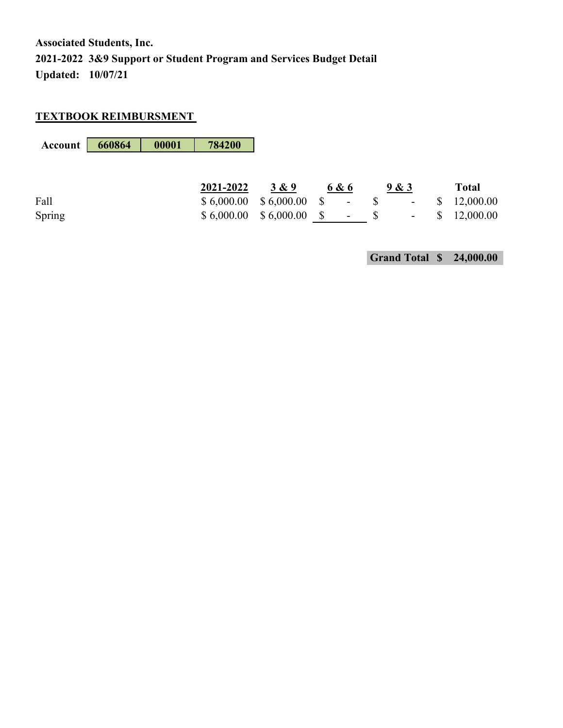#### **TEXTBOOK REIMBURSMENT**

| Account | 660864 | 00001 | 784200     |                |                |                          |              |              |
|---------|--------|-------|------------|----------------|----------------|--------------------------|--------------|--------------|
|         |        |       |            |                |                |                          |              |              |
|         |        |       | 2021-2022  | 3 & 9          | 6 & 6          | 9 & 3                    |              | <b>Total</b> |
| Fall    |        |       | \$6,000.00 | $$6,000.00$ \$ | $\blacksquare$ | $\overline{\phantom{a}}$ | $\mathbb{S}$ | 12,000.00    |
| Spring  |        |       | \$6,000.00 | $$6,000.00$ \$ | $\blacksquare$ | $\overline{\phantom{a}}$ |              | 12,000.00    |

**Grand Total \$ 24,000.00**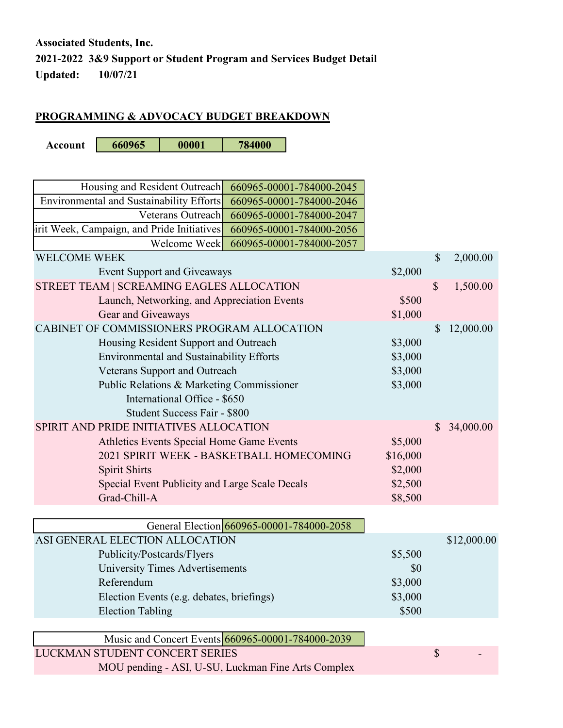## **PROGRAMMING & ADVOCACY BUDGET BREAKDOWN**

**Account 660965 00001 784000**

| Housing and Resident Outreach<br>660965-00001-784000-2045                                                          |          |               |             |
|--------------------------------------------------------------------------------------------------------------------|----------|---------------|-------------|
| Environmental and Sustainability Efforts<br>660965-00001-784000-2046                                               |          |               |             |
| Veterans Outreach<br>660965-00001-784000-2047                                                                      |          |               |             |
|                                                                                                                    |          |               |             |
| irit Week, Campaign, and Pride Initiatives<br>660965-00001-784000-2056<br>Welcome Week<br>660965-00001-784000-2057 |          |               |             |
| <b>WELCOME WEEK</b>                                                                                                |          | $\mathcal{S}$ | 2,000.00    |
| <b>Event Support and Giveaways</b>                                                                                 | \$2,000  |               |             |
| STREET TEAM   SCREAMING EAGLES ALLOCATION                                                                          |          | \$            | 1,500.00    |
| Launch, Networking, and Appreciation Events                                                                        | \$500    |               |             |
| Gear and Giveaways                                                                                                 | \$1,000  |               |             |
| CABINET OF COMMISSIONERS PROGRAM ALLOCATION                                                                        |          | $\mathcal{S}$ | 12,000.00   |
| Housing Resident Support and Outreach                                                                              | \$3,000  |               |             |
| Environmental and Sustainability Efforts                                                                           | \$3,000  |               |             |
| Veterans Support and Outreach                                                                                      | \$3,000  |               |             |
| Public Relations & Marketing Commissioner                                                                          | \$3,000  |               |             |
| International Office - \$650                                                                                       |          |               |             |
| <b>Student Success Fair - \$800</b>                                                                                |          |               |             |
| SPIRIT AND PRIDE INITIATIVES ALLOCATION                                                                            |          | $\mathbb{S}$  | 34,000.00   |
| Athletics Events Special Home Game Events                                                                          | \$5,000  |               |             |
| 2021 SPIRIT WEEK - BASKETBALL HOMECOMING                                                                           | \$16,000 |               |             |
|                                                                                                                    |          |               |             |
| <b>Spirit Shirts</b>                                                                                               | \$2,000  |               |             |
| Special Event Publicity and Large Scale Decals<br>Grad-Chill-A                                                     | \$2,500  |               |             |
|                                                                                                                    | \$8,500  |               |             |
| General Election 660965-00001-784000-2058                                                                          |          |               |             |
| ASI GENERAL ELECTION ALLOCATION                                                                                    |          |               | \$12,000.00 |
|                                                                                                                    | \$5,500  |               |             |
| Publicity/Postcards/Flyers<br><b>University Times Advertisements</b>                                               |          |               |             |
| Referendum                                                                                                         | \$0      |               |             |
|                                                                                                                    | \$3,000  |               |             |
| Election Events (e.g. debates, briefings)                                                                          | \$3,000  |               |             |
| <b>Election Tabling</b>                                                                                            | \$500    |               |             |
| Music and Concert Events 660965-00001-784000-2039                                                                  |          |               |             |
| LUCKMAN STUDENT CONCERT SERIES                                                                                     |          |               |             |
|                                                                                                                    |          | \$            |             |
| MOU pending - ASI, U-SU, Luckman Fine Arts Complex                                                                 |          |               |             |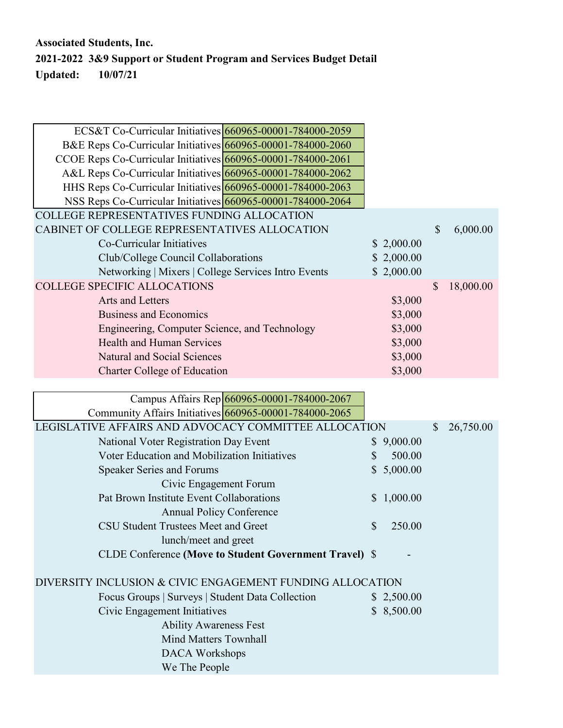| ECS&T Co-Curricular Initiatives 660965-00001-784000-2059     |            |    |           |
|--------------------------------------------------------------|------------|----|-----------|
|                                                              |            |    |           |
| B&E Reps Co-Curricular Initiatives 660965-00001-784000-2060  |            |    |           |
| CCOE Reps Co-Curricular Initiatives 660965-00001-784000-2061 |            |    |           |
| A&L Reps Co-Curricular Initiatives 660965-00001-784000-2062  |            |    |           |
| HHS Reps Co-Curricular Initiatives 660965-00001-784000-2063  |            |    |           |
| NSS Reps Co-Curricular Initiatives 660965-00001-784000-2064  |            |    |           |
| <b>COLLEGE REPRESENTATIVES FUNDING ALLOCATION</b>            |            |    |           |
| CABINET OF COLLEGE REPRESENTATIVES ALLOCATION                |            | \$ | 6,000.00  |
| Co-Curricular Initiatives                                    | \$2,000.00 |    |           |
| Club/College Council Collaborations                          | \$2,000.00 |    |           |
| Networking   Mixers   College Services Intro Events          | \$2,000.00 |    |           |
| <b>COLLEGE SPECIFIC ALLOCATIONS</b>                          |            | S  | 18,000.00 |
| Arts and Letters                                             | \$3,000    |    |           |
| <b>Business and Economics</b>                                | \$3,000    |    |           |
| Engineering, Computer Science, and Technology                | \$3,000    |    |           |
| <b>Health and Human Services</b>                             | \$3,000    |    |           |
| <b>Natural and Social Sciences</b>                           | \$3,000    |    |           |
| <b>Charter College of Education</b>                          | \$3,000    |    |           |
|                                                              |            |    |           |
| Campus Affairs Rep 660965-00001-784000-2067                  |            |    |           |

|    |                                                        | $\mathcal{S}$                                                                                                                                                                            | 26,750.00 |
|----|--------------------------------------------------------|------------------------------------------------------------------------------------------------------------------------------------------------------------------------------------------|-----------|
|    |                                                        |                                                                                                                                                                                          |           |
| S  | 500.00                                                 |                                                                                                                                                                                          |           |
|    |                                                        |                                                                                                                                                                                          |           |
|    |                                                        |                                                                                                                                                                                          |           |
|    |                                                        |                                                                                                                                                                                          |           |
|    |                                                        |                                                                                                                                                                                          |           |
| \$ | 250.00                                                 |                                                                                                                                                                                          |           |
|    |                                                        |                                                                                                                                                                                          |           |
|    |                                                        |                                                                                                                                                                                          |           |
|    |                                                        |                                                                                                                                                                                          |           |
|    |                                                        |                                                                                                                                                                                          |           |
|    |                                                        |                                                                                                                                                                                          |           |
|    |                                                        |                                                                                                                                                                                          |           |
|    |                                                        |                                                                                                                                                                                          |           |
|    |                                                        |                                                                                                                                                                                          |           |
|    |                                                        |                                                                                                                                                                                          |           |
|    | CLDE Conference (Move to Student Government Travel) \$ | LEGISLATIVE AFFAIRS AND ADVOCACY COMMITTEE ALLOCATION<br>\$9,000.00<br>\$5,000.00<br>\$1,000.00<br>DIVERSITY INCLUSION & CIVIC ENGAGEMENT FUNDING ALLOCATION<br>\$2,500.00<br>\$8,500.00 |           |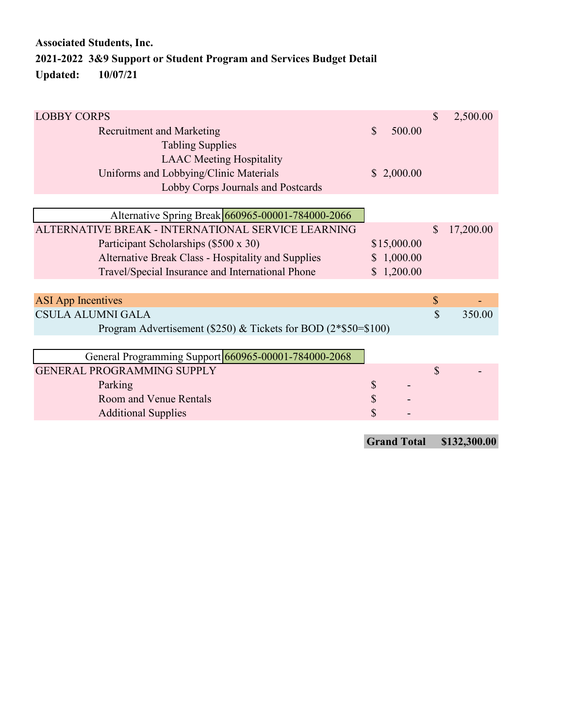| <b>LOBBY CORPS</b>                                               |              |             | $\mathbb{S}$ | 2,500.00  |
|------------------------------------------------------------------|--------------|-------------|--------------|-----------|
| <b>Recruitment and Marketing</b>                                 | $\mathbb{S}$ | 500.00      |              |           |
| <b>Tabling Supplies</b>                                          |              |             |              |           |
| <b>LAAC</b> Meeting Hospitality                                  |              |             |              |           |
| Uniforms and Lobbying/Clinic Materials                           |              | \$2,000.00  |              |           |
| Lobby Corps Journals and Postcards                               |              |             |              |           |
|                                                                  |              |             |              |           |
| Alternative Spring Break 660965-00001-784000-2066                |              |             |              |           |
| ALTERNATIVE BREAK - INTERNATIONAL SERVICE LEARNING               |              |             | \$           | 17,200.00 |
| Participant Scholarships (\$500 x 30)                            |              | \$15,000.00 |              |           |
| Alternative Break Class - Hospitality and Supplies               |              | \$1,000.00  |              |           |
| Travel/Special Insurance and International Phone                 |              | \$1,200.00  |              |           |
|                                                                  |              |             |              |           |
| <b>ASI</b> App Incentives                                        |              |             | $\mathbb{S}$ |           |
| CSULA ALUMNI GALA                                                |              |             | $\mathbb{S}$ | 350.00    |
| Program Advertisement (\$250) & Tickets for BOD $(2*\$50=\$100)$ |              |             |              |           |
|                                                                  |              |             |              |           |
| General Programming Support 660965-00001-784000-2068             |              |             |              |           |
| <b>GENERAL PROGRAMMING SUPPLY</b>                                |              |             | $\mathbb{S}$ |           |
| Parking                                                          | \$           |             |              |           |
| Room and Venue Rentals                                           | \$           |             |              |           |
| <b>Additional Supplies</b>                                       | \$           |             |              |           |
|                                                                  |              |             |              |           |

**Grand Total \$132,300.00**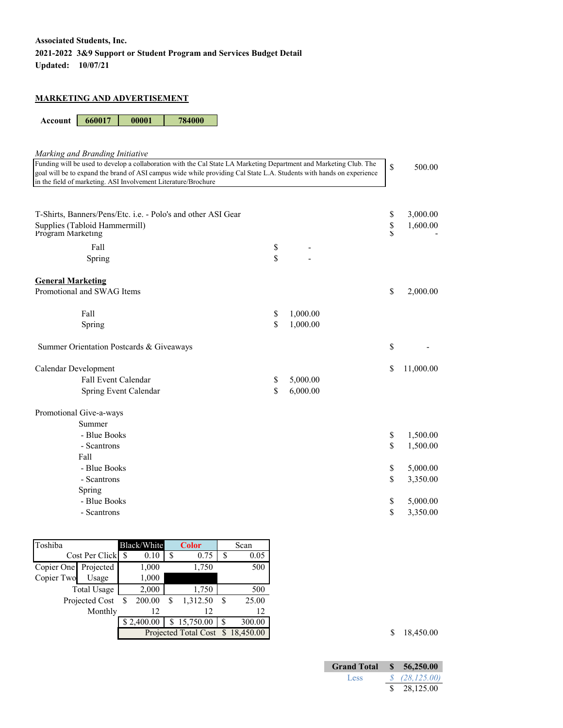#### **MARKETING AND ADVERTISEMENT**

**Account 660017 00001 784000**

| Marking and Branding Initiative                                                                                      |    |          |                    |           |  |  |
|----------------------------------------------------------------------------------------------------------------------|----|----------|--------------------|-----------|--|--|
| Funding will be used to develop a collaboration with the Cal State LA Marketing Department and Marketing Club. The   |    |          |                    |           |  |  |
| goal will be to expand the brand of ASI campus wide while providing Cal State L.A. Students with hands on experience |    |          |                    |           |  |  |
| in the field of marketing. ASI Involvement Literature/Brochure                                                       |    |          |                    |           |  |  |
|                                                                                                                      |    |          |                    |           |  |  |
|                                                                                                                      |    |          |                    |           |  |  |
| T-Shirts, Banners/Pens/Etc. i.e. - Polo's and other ASI Gear                                                         |    |          | \$                 | 3,000.00  |  |  |
| Supplies (Tabloid Hammermill)                                                                                        |    |          | \$<br>$\mathbf{S}$ | 1,600.00  |  |  |
| Program Marketing                                                                                                    |    |          |                    |           |  |  |
| Fall                                                                                                                 | \$ |          |                    |           |  |  |
| Spring                                                                                                               | \$ |          |                    |           |  |  |
|                                                                                                                      |    |          |                    |           |  |  |
| <b>General Marketing</b>                                                                                             |    |          |                    |           |  |  |
| Promotional and SWAG Items                                                                                           |    |          | \$                 | 2,000.00  |  |  |
|                                                                                                                      |    |          |                    |           |  |  |
| Fall                                                                                                                 | \$ | 1,000.00 |                    |           |  |  |
| Spring                                                                                                               | \$ | 1,000.00 |                    |           |  |  |
|                                                                                                                      |    |          |                    |           |  |  |
| Summer Orientation Postcards & Giveaways                                                                             |    |          | \$                 |           |  |  |
| Calendar Development                                                                                                 |    |          | \$                 | 11,000.00 |  |  |
| Fall Event Calendar                                                                                                  | \$ | 5,000.00 |                    |           |  |  |
| Spring Event Calendar                                                                                                | \$ | 6,000.00 |                    |           |  |  |
|                                                                                                                      |    |          |                    |           |  |  |
| Promotional Give-a-ways                                                                                              |    |          |                    |           |  |  |
| Summer                                                                                                               |    |          |                    |           |  |  |
| - Blue Books                                                                                                         |    |          | \$                 | 1,500.00  |  |  |
| - Scantrons                                                                                                          |    |          | \$                 | 1,500.00  |  |  |
| Fall                                                                                                                 |    |          |                    |           |  |  |
| - Blue Books                                                                                                         |    |          | \$                 | 5,000.00  |  |  |
| - Scantrons                                                                                                          |    |          | \$                 | 3,350.00  |  |  |
| Spring                                                                                                               |    |          |                    |           |  |  |
| - Blue Books                                                                                                         |    |          | \$                 | 5,000.00  |  |  |
| - Scantrons                                                                                                          |    |          | \$                 | 3,350.00  |  |  |
|                                                                                                                      |    |          |                    |           |  |  |

| Toshiba              |                    |   | Black/White |                      | <b>Color</b> |             | Scan   |
|----------------------|--------------------|---|-------------|----------------------|--------------|-------------|--------|
|                      | Cost Per Click     | S | 0.10        | S                    | 0.75         | S           | 0.05   |
| Copier One Projected |                    |   | 1,000       |                      | 1,750        |             | 500    |
| Copier Two           | Usage              |   | 1,000       |                      |              |             |        |
|                      | <b>Total Usage</b> |   | 2,000       |                      | 1,750        |             | 500    |
|                      | Projected Cost     |   | 200.00      | \$                   | 1,312.50     | S           | 25.00  |
|                      | Monthly            |   | 12          |                      | 12           |             | 12     |
|                      |                    |   | \$2,400.00  |                      | \$15,750.00  | S           | 300.00 |
|                      |                    |   |             | Projected Total Cost |              | \$18,450.00 |        |

 $\frac{1}{2}$   $\frac{18,450.00}{5}$ 

| <b>Grand Total</b> | \$56,250.00        |
|--------------------|--------------------|
| Less               | $\sqrt{28,125.00}$ |
|                    | \$28,125.00        |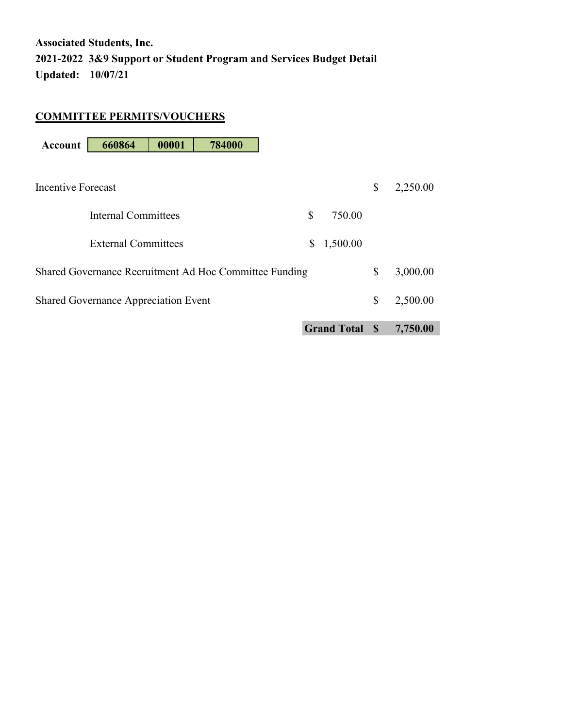#### **COMMITTEE PERMITS/VOUCHERS**

| <b>Account</b>     | 660864                                      | 00001 | 784000                                                 |    |                      |                |
|--------------------|---------------------------------------------|-------|--------------------------------------------------------|----|----------------------|----------------|
|                    |                                             |       |                                                        |    |                      |                |
| Incentive Forecast |                                             |       |                                                        |    |                      | \$<br>2,250.00 |
|                    |                                             |       |                                                        |    |                      |                |
|                    | Internal Committees                         |       |                                                        | \$ | 750.00               |                |
|                    | External Committees                         |       |                                                        | \$ | 1,500.00             |                |
|                    |                                             |       |                                                        |    |                      |                |
|                    |                                             |       | Shared Governance Recruitment Ad Hoc Committee Funding |    |                      | \$<br>3,000.00 |
|                    |                                             |       |                                                        |    |                      |                |
|                    | <b>Shared Governance Appreciation Event</b> |       |                                                        |    |                      | \$<br>2,500.00 |
|                    |                                             |       |                                                        |    | <b>Grand Total S</b> | 7,750.00       |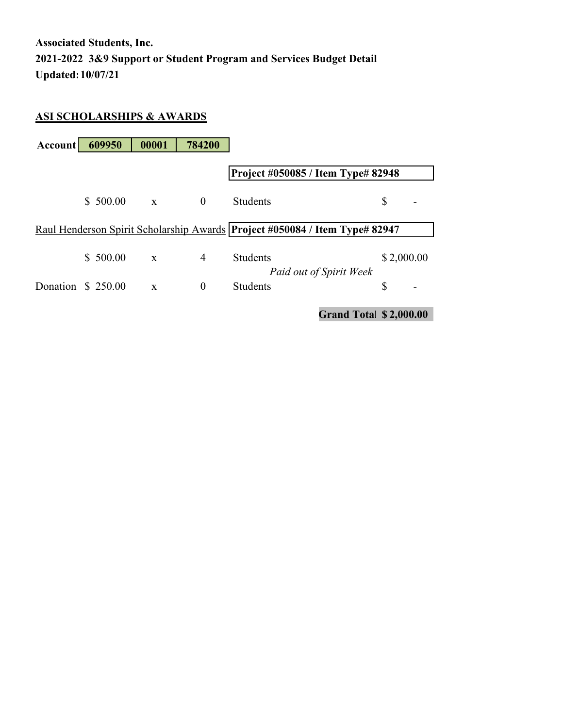#### **ASI SCHOLARSHIPS & AWARDS**

| Account           | 609950   | 00001        | 784200         |                                                                               |                               |
|-------------------|----------|--------------|----------------|-------------------------------------------------------------------------------|-------------------------------|
|                   |          |              |                | Project #050085 / Item Type# 82948                                            |                               |
|                   | \$500.00 | $\mathbf{x}$ | $\theta$       | <b>Students</b>                                                               | \$                            |
|                   |          |              |                | Raul Henderson Spirit Scholarship Awards   Project #050084 / Item Type# 82947 |                               |
|                   | \$500.00 | $\mathbf{x}$ | $\overline{4}$ | <b>Students</b>                                                               | \$2,000.00                    |
| Donation \$250.00 |          | $\mathbf{x}$ | $\theta$       | Paid out of Spirit Week<br><b>Students</b>                                    | \$<br>-                       |
|                   |          |              |                |                                                                               | <b>Grand Total \$2,000.00</b> |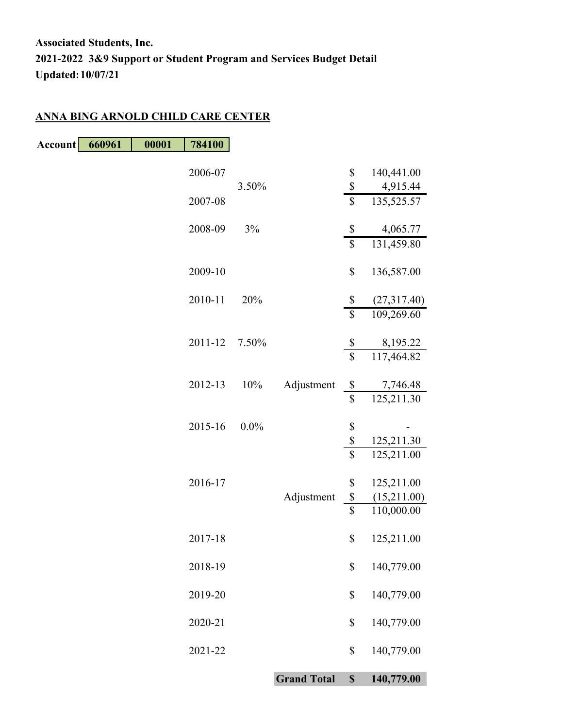#### **ANNA BING ARNOLD CHILD CARE CENTER**

| Account | 660961 | 00001 | 784100  |         |                    |                                      |                           |
|---------|--------|-------|---------|---------|--------------------|--------------------------------------|---------------------------|
|         |        |       | 2006-07 |         |                    | \$                                   | 140,441.00                |
|         |        |       | 2007-08 | 3.50%   |                    | \$<br>\$                             | 4,915.44<br>135,525.57    |
|         |        |       | 2008-09 | 3%      |                    | \$<br>$\overline{\mathcal{S}}$       | 4,065.77<br>131,459.80    |
|         |        |       | 2009-10 |         |                    | \$                                   | 136,587.00                |
|         |        |       | 2010-11 | 20%     |                    | \$<br>$\overline{\mathcal{S}}$       | (27,317.40)               |
|         |        |       | 2011-12 | 7.50%   |                    | $\boldsymbol{\mathbb{S}}$            | 109,269.60<br>8,195.22    |
|         |        |       |         |         |                    | $\overline{\mathcal{S}}$             | 117,464.82                |
|         |        |       | 2012-13 | 10%     | Adjustment         | $\$$<br>\$                           | 7,746.48<br>125,211.30    |
|         |        |       | 2015-16 | $0.0\%$ |                    | \$                                   |                           |
|         |        |       |         |         |                    | \$<br>$\sqrt{\ }$                    | 125,211.30<br>125,211.00  |
|         |        |       | 2016-17 |         |                    | \$                                   | 125,211.00                |
|         |        |       |         |         | Adjustment         | $\boldsymbol{\$}$<br>$\overline{\$}$ | (15,211.00)<br>110,000.00 |
|         |        |       | 2017-18 |         |                    | \$                                   | 125,211.00                |
|         |        |       | 2018-19 |         |                    | \$                                   | 140,779.00                |
|         |        |       | 2019-20 |         |                    | \$                                   | 140,779.00                |
|         |        |       | 2020-21 |         |                    | \$                                   | 140,779.00                |
|         |        |       | 2021-22 |         |                    | \$                                   | 140,779.00                |
|         |        |       |         |         | <b>Grand Total</b> | $\mathbb{S}$                         | 140,779.00                |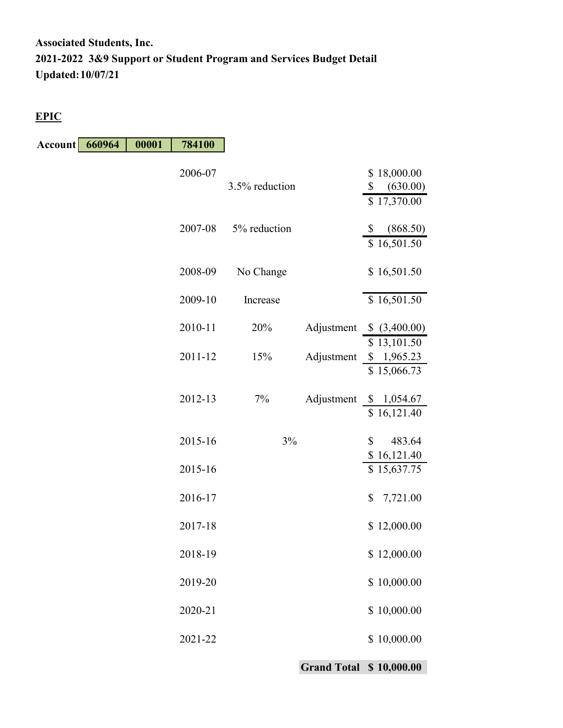#### **EPIC**

**Account 660964 00001 784100**

| 2006-07 | 3.5% reduction |            | \$18,000.00<br>\$<br>(630.00)<br>\$17,370.00 |
|---------|----------------|------------|----------------------------------------------|
| 2007-08 | 5% reduction   |            | \$<br>(868.50)<br>\$16,501.50                |
| 2008-09 | No Change      |            | \$16,501.50                                  |
| 2009-10 | Increase       |            | \$16,501.50                                  |
| 2010-11 | 20%            | Adjustment | \$ (3,400.00)                                |
| 2011-12 | 15%            | Adjustment | \$13,101.50<br>\$1,965.23<br>\$15,066.73     |
| 2012-13 | 7%             | Adjustment | \$1,054.67<br>\$16,121.40                    |
| 2015-16 | 3%             |            | \$<br>483.64<br>\$16,121.40                  |
| 2015-16 |                |            | \$15,637.75                                  |
| 2016-17 |                |            | \$<br>7,721.00                               |
| 2017-18 |                |            | \$12,000.00                                  |
| 2018-19 |                |            | \$12,000.00                                  |
| 2019-20 |                |            | \$10,000.00                                  |
| 2020-21 |                |            | 10,000.00<br>\$                              |
| 2021-22 |                |            | \$10,000.00                                  |

**Grand Total \$ 10,000.00**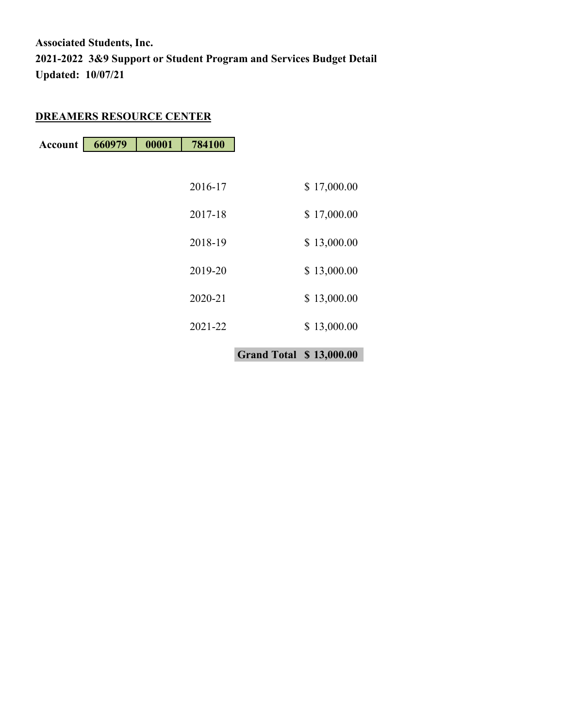## **DREAMERS RESOURCE CENTER**

| <b>Account</b> 660979 | 00001 | 784100 |
|-----------------------|-------|--------|

|         | <b>Grand Total \$13,000.00</b> |             |
|---------|--------------------------------|-------------|
| 2021-22 |                                | \$13,000.00 |
| 2020-21 |                                | \$13,000.00 |
| 2019-20 |                                | \$13,000.00 |
| 2018-19 |                                | \$13,000.00 |
| 2017-18 |                                | \$17,000.00 |
| 2016-17 |                                | \$17,000.00 |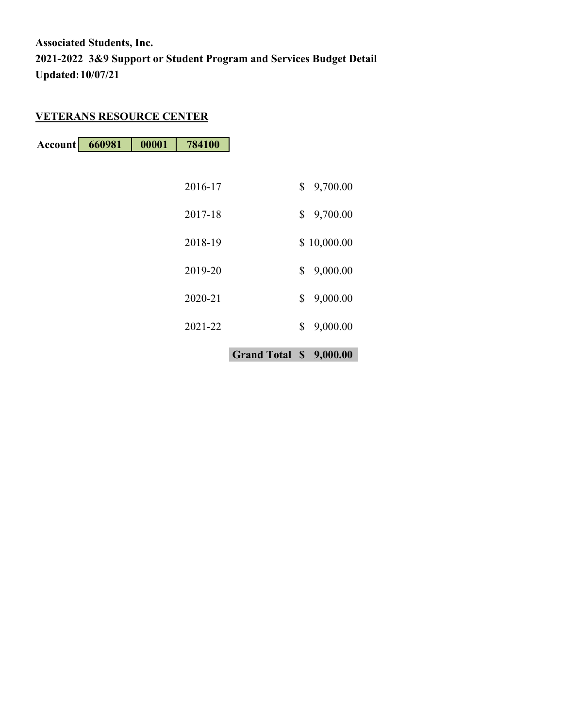## **VETERANS RESOURCE CENTER**

**Account 660981 00001 784100**

|         | Grand Total \$ 9,000.00 |                |
|---------|-------------------------|----------------|
| 2021-22 |                         | \$<br>9,000.00 |
| 2020-21 |                         | \$<br>9,000.00 |
| 2019-20 |                         | \$<br>9,000.00 |
| 2018-19 |                         | \$10,000.00    |
| 2017-18 |                         | \$<br>9,700.00 |
| 2016-17 |                         | \$<br>9,700.00 |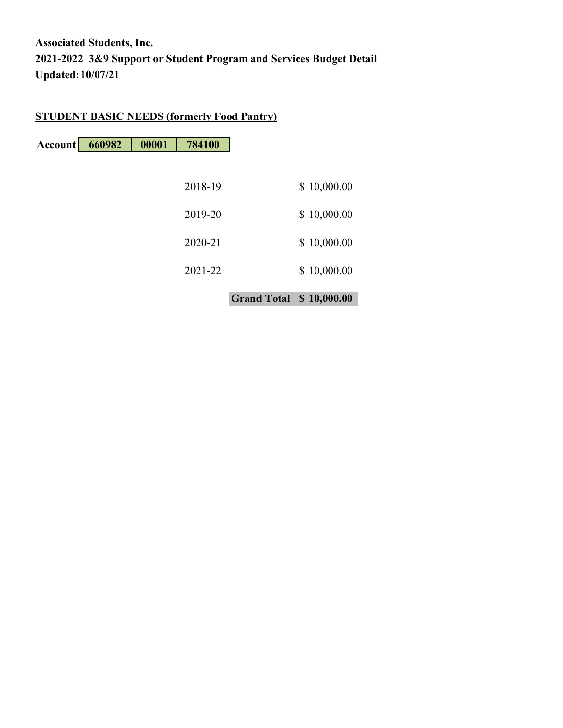## **STUDENT BASIC NEEDS (formerly Food Pantry)**

| Account | 660982 | 00001 | 784100  |                                |             |
|---------|--------|-------|---------|--------------------------------|-------------|
|         |        |       |         |                                |             |
|         |        |       | 2018-19 |                                | \$10,000.00 |
|         |        |       | 2019-20 |                                | \$10,000.00 |
|         |        |       | 2020-21 |                                | \$10,000.00 |
|         |        |       | 2021-22 |                                | \$10,000.00 |
|         |        |       |         | <b>Grand Total \$10,000.00</b> |             |